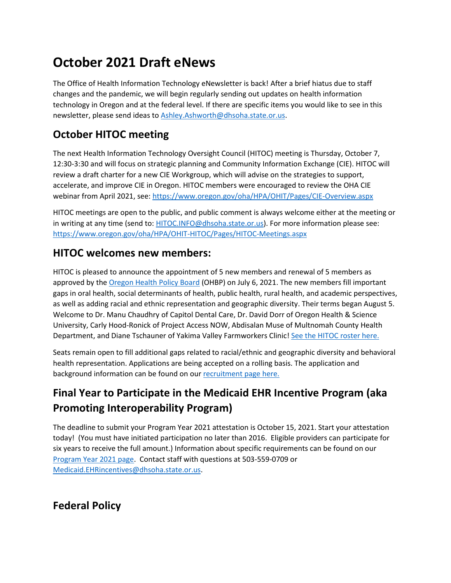# **October 2021 Draft eNews**

The Office of Health Information Technology eNewsletter is back! After a brief hiatus due to staff changes and the pandemic, we will begin regularly sending out updates on health information technology in Oregon and at the federal level. If there are specific items you would like to see in this newsletter, please send ideas to [Ashley.Ashworth@dhsoha.state.or.us.](mailto:Ashley.Ashworth@dhsoha.state.or.us)

## **October HITOC meeting**

The next Health Information Technology Oversight Council (HITOC) meeting is Thursday, October 7, 12:30-3:30 and will focus on strategic planning and Community Information Exchange (CIE). HITOC will review a draft charter for a new CIE Workgroup, which will advise on the strategies to support, accelerate, and improve CIE in Oregon. HITOC members were encouraged to review the OHA CIE webinar from April 2021, see:<https://www.oregon.gov/oha/HPA/OHIT/Pages/CIE-Overview.aspx>

HITOC meetings are open to the public, and public comment is always welcome either at the meeting or in writing at any time (send to[: HITOC.INFO@dhsoha.state.or.us\)](mailto:HITOC.INFO@dhsoha.state.or.us). For more information please see: <https://www.oregon.gov/oha/HPA/OHIT-HITOC/Pages/HITOC-Meetings.aspx>

#### **HITOC welcomes new members:**

HITOC is pleased to announce the appointment of 5 new members and renewal of 5 members as approved by the [Oregon Health Policy Board](https://www.oregon.gov/oha/OHPB/Pages/index.aspx) (OHBP) on July 6, 2021. The new members fill important gaps in oral health, social determinants of health, public health, rural health, and academic perspectives, as well as adding racial and ethnic representation and geographic diversity. Their terms began August 5. Welcome to Dr. Manu Chaudhry of Capitol Dental Care, Dr. David Dorr of Oregon Health & Science University, Carly Hood-Ronick of Project Access NOW, Abdisalan Muse of Multnomah County Health Department, and Diane Tschauner of Yakima Valley Farmworkers Clinic! [See the HITOC roster here.](http://www.oregon.gov/oha/HPA/OHIT-HITOC/Pages/Council-Members.aspx)

Seats remain open to fill additional gaps related to racial/ethnic and geographic diversity and behavioral health representation. Applications are being accepted on a rolling basis. The application and background information can be found on our [recruitment page here.](https://www.oregon.gov/oha/HPA/OHIT-HITOC/Pages/HITOC-Recruitment-2021.aspx)

# **Final Year to Participate in the Medicaid EHR Incentive Program (aka Promoting Interoperability Program)**

The deadline to submit your Program Year 2021 attestation is October 15, 2021. Start your attestation today! (You must have initiated participation no later than 2016. Eligible providers can participate for six years to receive the full amount.) Information about specific requirements can be found on our [Program Year 2021 page.](https://www.oregon.gov/oha/HPA/OHIT-MEHRIP/Pages/Program-Year-2021.aspx) Contact staff with questions at 503-559-0709 or [Medicaid.EHRincentives@dhsoha.state.or.us.](mailto:Medicaid.EHRincentives@dhsoha.state.or.us)

### **Federal Policy**